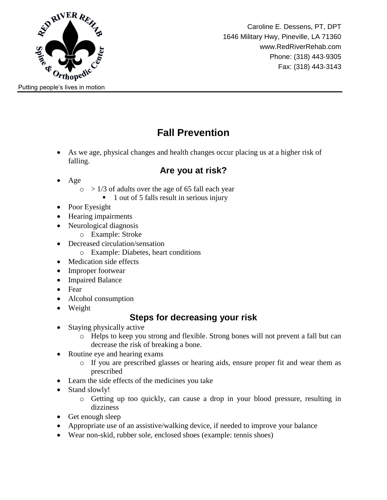

Caroline E. Dessens, PT, DPT 1646 Military Hwy, Pineville, LA 71360 www.RedRiverRehab.com Phone: (318) 443-9305 Fax: (318) 443-3143

# **Fall Prevention**

 As we age, physical changes and health changes occur placing us at a higher risk of falling.

### **Are you at risk?**

- Age
	- $\circ$  > 1/3 of adults over the age of 65 fall each year
		- 1 out of 5 falls result in serious injury
- Poor Eyesight
- Hearing impairments
- Neurological diagnosis
	- o Example: Stroke
- Decreased circulation/sensation
	- o Example: Diabetes, heart conditions
- Medication side effects
- Improper footwear
- Impaired Balance
- Fear
- Alcohol consumption
- Weight

## **Steps for decreasing your risk**

- Staying physically active
	- o Helps to keep you strong and flexible. Strong bones will not prevent a fall but can decrease the risk of breaking a bone.
- Routine eye and hearing exams
	- o If you are prescribed glasses or hearing aids, ensure proper fit and wear them as prescribed
- Learn the side effects of the medicines you take
- Stand slowly!
	- o Getting up too quickly, can cause a drop in your blood pressure, resulting in dizziness
- Get enough sleep
- Appropriate use of an assistive/walking device, if needed to improve your balance
- Wear non-skid, rubber sole, enclosed shoes (example: tennis shoes)